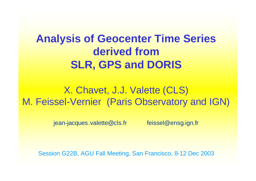# **Analysis of Geocenter Time Series derived from SLR, GPS and DORIS**

## X. Chavet, J.J. Valette (CLS) M. Feissel-Vernier (Paris Observatory and IGN)

jean-jacques.valette@cls.fr feissel@ensg.ign.fr

Session G22B, AGU Fall Meeting, San Francisco, 8-12 Dec 2003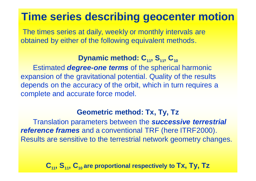# **Time series describing geocenter motion**

The times series at daily, weekly or monthly intervals are obtained by either of the following equivalent methods.

**Dynamic method: C<sub>11</sub></sub>, S<sub>11</sub>, C<sub>10</sub>** 

Estimated *degree-one terms* of the spherical harmonic expansion of the gravitational potential. Quality of the results depends on the accuracy of the orbit, which in turn requires a complete and accurate force model.

#### **Geometric method: Tx, Ty, Tz**

Translation parameters between the *successive terrestrial reference frames* and a conventional TRF (here ITRF2000). Results are sensitive to the terrestrial network geometry changes.

**C11, S11, C10 are proportional respectively to Tx, Ty, Tz**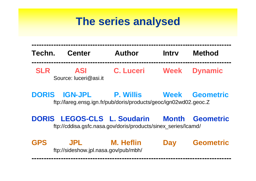# **The series analysed**

**---------------------------------------------------------------------------------- Techn. Center Author Intrv Method ---------------------------------------------------------------------------------- SLR ASI C. Luceri Week Dynamic** Source: luceri@asi.it

**DORIS IGN-JPL P. Willis Week Geometric** ftp://lareg.ensg.ign.fr/pub/doris/products/geoc/ign02wd02.geoc.Z

**DORIS LEGOS-CLS L. Soudarin Month Geometric** ftp://cddisa.gsfc.nasa.gov/doris/products/sinex\_series/lcamd/

**GPS JPL M. Heflin Day Geometric** ftp://sideshow.jpl.nasa.gov/pub/mbh/

**----------------------------------------------------------------------------------**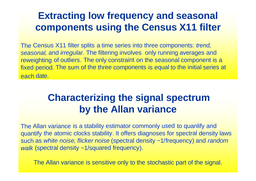## **Extracting low frequency and seasonal components using the Census X11 filter**

The Census X11 filter splits a time series into three components: *trend, seasonal,* and *irregular.* The filtering involves only running averages and reweighting of outliers. The only constraint on the seasonal component is <sup>a</sup> fixed period. The sum of the three components is equal to the initial series at each date.

## **Characterizing the signal spectrum by the Allan variance**

The Allan variance is a stability estimator commonly used to quanlify and quantify the atomic clocks stability. It offers diagnoses for spectral density laws such as *white noise*, *flicker noise* (spectral density ~1/frequency) and *random walk* (spectral density ~1/squared frequency).

The Allan variance is sensitive only to the stochastic part of the signal.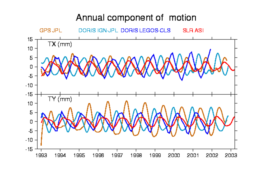## Annual component of motion

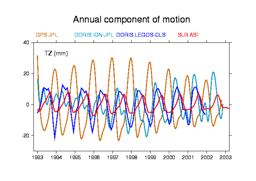### Annual component of motion

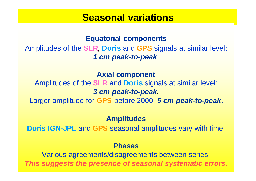### **Seasonal variations**

#### **Equatorial components** Amplitudes of the **SLR**, **Doris** and **GPS** signals at similar level: *1 cm peak-to-peak*.

**Axial component**

Amplitudes of the **SLR** and **Doris** signals at similar level: *3 cm peak-to-peak.*

Larger amplitude for **GPS** before 2000: *5 cm peak-to-peak*.

#### **Amplitudes**

**Doris IGN-JPL** and **GPS** seasonal amplitudes vary with time.

#### **Phases**

Various agreements/disagreements between series. *This suggests the presence of seasonal systematic errors.*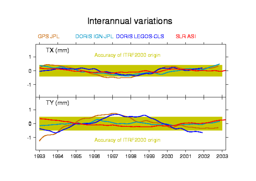### Interannual variations

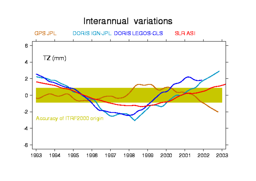### Interannual variations

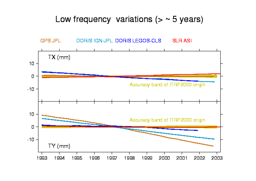#### Low frequency variations ( $>$  ~ 5 years)

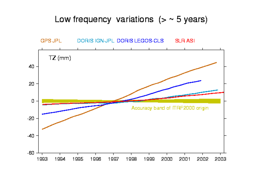#### Low frequency variations  $(>$  ~ 5 years)

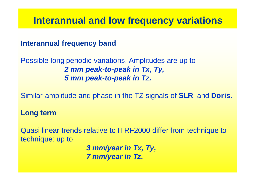## **Interannual and low frequency variations**

**Interannual frequency band**

Possible long periodic variations. Amplitudes are up to *2 mm peak-to-peak in Tx, Ty, 5 mm peak-to-peak in Tz.* 

Similar amplitude and phase in the TZ signals of **SLR** and **Doris**.

**Long term**

Quasi linear trends relative to ITRF2000 differ from technique to technique: up to

> *3 mm/year in Tx, Ty, 7 mm/year in Tz.*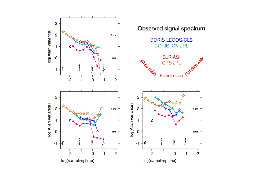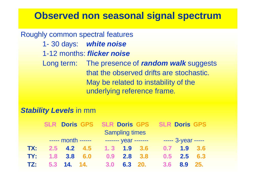## **Observed non seasonal signal spectrum**

Roughly common spectral features 1- 30 days: *white noise* 1-12 months: *flicker noise* Long term: The presence of *random walk* suggests that the observed drifts are stochastic. May be related to instability of the underlying reference frame.

#### *Stability Levels* in mm

|     |                       |               |     |     |                   |         | SLR Doris GPS SLR Doris GPS SLR Doris GPS |           |     |
|-----|-----------------------|---------------|-----|-----|-------------------|---------|-------------------------------------------|-----------|-----|
|     | <b>Sampling times</b> |               |     |     |                   |         |                                           |           |     |
|     |                       |               |     |     |                   |         | $--- 3-year ---$                          |           |     |
| TX: |                       | $2.5$ 4.2 4.5 |     |     | $1.3$ $1.9$ $3.6$ |         | $0.7$ 1.9                                 |           | 3.6 |
| TY: |                       | $1.8$ 3.8     | 6.0 |     | $0.9$ 2.8 3.8     |         |                                           | $0.5$ 2.5 | 6.3 |
| TZ: |                       | $5.3$ 14, 14, |     | 3.0 |                   | 6.3 20. | 3.6                                       | 8.9 25.   |     |